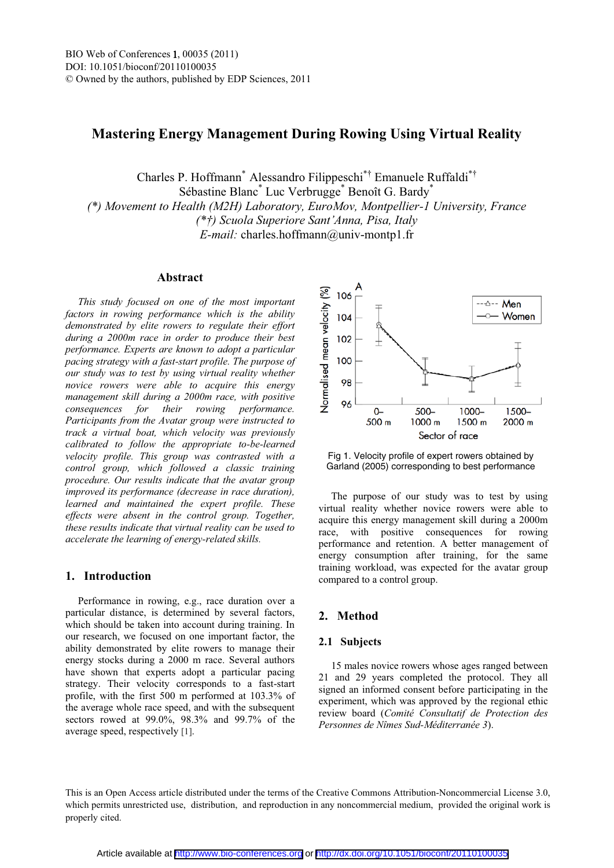# **Mastering Energy Management During Rowing Using Virtual Reality**

Charles P. Hoffmann<sup>\*</sup> Alessandro Filippeschi<sup>\*†</sup> Emanuele Ruffaldi<sup>\*†</sup> Sébastine Blanc\* Luc Verbrugge\* Benoît G. Bardy\* *(\*) Movement to Health (M2H) Laboratory, EuroMov, Montpellier-1 University, France (\*†)* Scuola Superiore Sant'Anna, Pisa, Italy *E-mail:* charles.hoffmann@univ-montp1.fr

#### **Abstract**

*This study focused on one of the most important factors in rowing performance which is the ability demonstrated by elite rowers to regulate their effort during a 2000m race in order to produce their best performance. Experts are known to adopt a particular pacing strategy with a fast-start profile. The purpose of our study was to test by using virtual reality whether novice rowers were able to acquire this energy management skill during a 2000m race, with positive consequences for their rowing performance. Participants from the Avatar group were instructed to track a virtual boat, which velocity was previously calibrated to follow the appropriate to-be-learned velocity profile. This group was contrasted with a control group, which followed a classic training procedure. Our results indicate that the avatar group improved its performance (decrease in race duration), learned and maintained the expert profile. These effects were absent in the control group. Together, these results indicate that virtual reality can be used to accelerate the learning of energy-related skills.*

### **1. Introduction**

Performance in rowing, e.g., race duration over a particular distance, is determined by several factors, which should be taken into account during training. In our research, we focused on one important factor, the ability demonstrated by elite rowers to manage their energy stocks during a 2000 m race. Several authors have shown that experts adopt a particular pacing strategy. Their velocity corresponds to a fast-start profile, with the first 500 m performed at 103.3% of the average whole race speed, and with the subsequent sectors rowed at 99.0%, 98.3% and 99.7% of the average speed, respectively [1].



Fig 1. Velocity profile of expert rowers obtained by Garland (2005) corresponding to best performance

The purpose of our study was to test by using virtual reality whether novice rowers were able to acquire this energy management skill during a 2000m race, with positive consequences for rowing performance and retention. A better management of energy consumption after training, for the same training workload, was expected for the avatar group compared to a control group.

## **2. Method**

#### **2.1 Subjects**

15 males novice rowers whose ages ranged between 21 and 29 years completed the protocol. They all signed an informed consent before participating in the experiment, which was approved by the regional ethic review board (*Comité Consultatif de Protection des Personnes de Nîmes Sud-Méditerranée 3*).

This is an Open Access article distributed under the terms of the Creative Commons Attribution-Noncommercial License 3.0, which permits unrestricted use, distribution, and reproduction in any noncommercial medium, provided the original work is properly cited.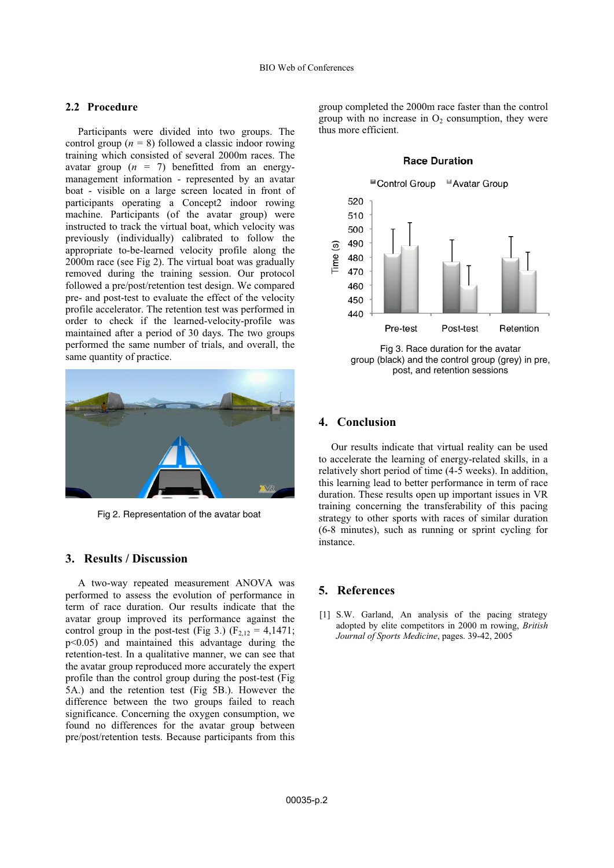### **2.2 Procedure**

Participants were divided into two groups. The control group (*n =* 8) followed a classic indoor rowing training which consisted of several 2000m races. The avatar group  $(n = 7)$  benefitted from an energymanagement information - represented by an avatar boat - visible on a large screen located in front of participants operating a Concept2 indoor rowing machine. Participants (of the avatar group) were instructed to track the virtual boat, which velocity was previously (individually) calibrated to follow the appropriate to-be-learned velocity profile along the 2000m race (see Fig 2). The virtual boat was gradually removed during the training session. Our protocol followed a pre/post/retention test design. We compared pre- and post-test to evaluate the effect of the velocity profile accelerator. The retention test was performed in order to check if the learned-velocity-profile was maintained after a period of 30 days. The two groups performed the same number of trials, and overall, the same quantity of practice.



Fig 2. Representation of the avatar boat

## **3. Results / Discussion**

A two-way repeated measurement ANOVA was performed to assess the evolution of performance in term of race duration. Our results indicate that the avatar group improved its performance against the control group in the post-test (Fig 3.) ( $F_{2,12} = 4,1471$ ; p<0.05) and maintained this advantage during the retention-test. In a qualitative manner, we can see that the avatar group reproduced more accurately the expert profile than the control group during the post-test (Fig 5A.) and the retention test (Fig 5B.). However the difference between the two groups failed to reach significance. Concerning the oxygen consumption, we found no differences for the avatar group between pre/post/retention tests. Because participants from this

group completed the 2000m race faster than the control group with no increase in  $O_2$  consumption, they were thus more efficient.

#### **Race Duration**



group (black) and the control group (grey) in pre, post, and retention sessions

### **4. Conclusion**

Our results indicate that virtual reality can be used to accelerate the learning of energy-related skills, in a relatively short period of time (4-5 weeks). In addition, this learning lead to better performance in term of race duration. These results open up important issues in VR training concerning the transferability of this pacing strategy to other sports with races of similar duration (6-8 minutes), such as running or sprint cycling for instance.

## **5. References**

[1] S.W. Garland, An analysis of the pacing strategy adopted by elite competitors in 2000 m rowing, *British Journal of Sports Medicine*, pages. 39-42, 2005